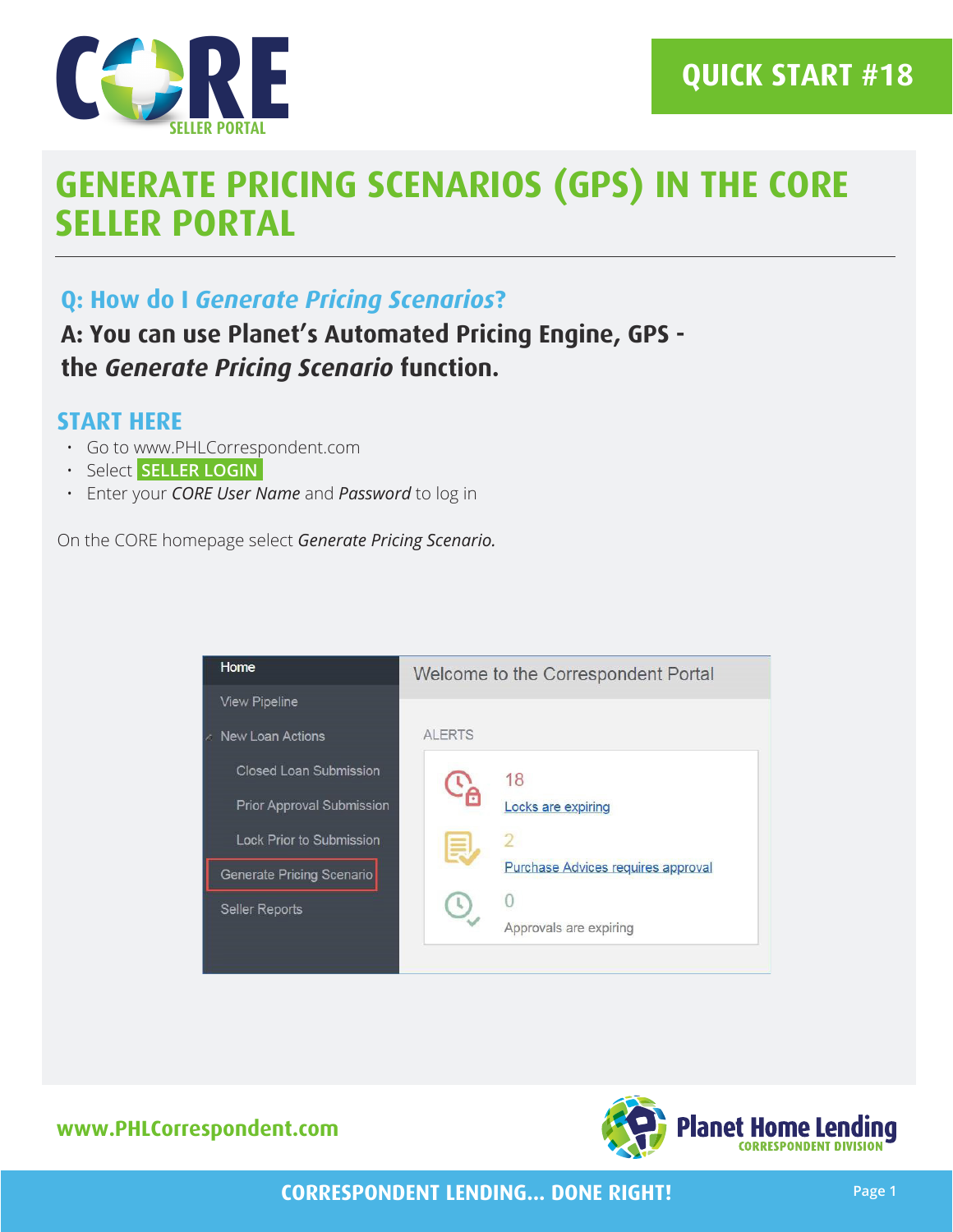

**Q: How do I** *Generate Pricing Scenarios***?**

**A: You can use Planet's Automated Pricing Engine, GPS the** *Generate Pricing Scenario* **function.**

#### **START HERE**

- Go to www.PHLCorrespondent.com
- Select **SELLER LOGIN**
- Enter your *CORE User Name* and *Password* to log in

On the CORE homepage select *Generate Pricing Scenario.*



**www.PHLCorrespondent.com**



**CORRESPONDENT LENDING... DONE RIGHT!**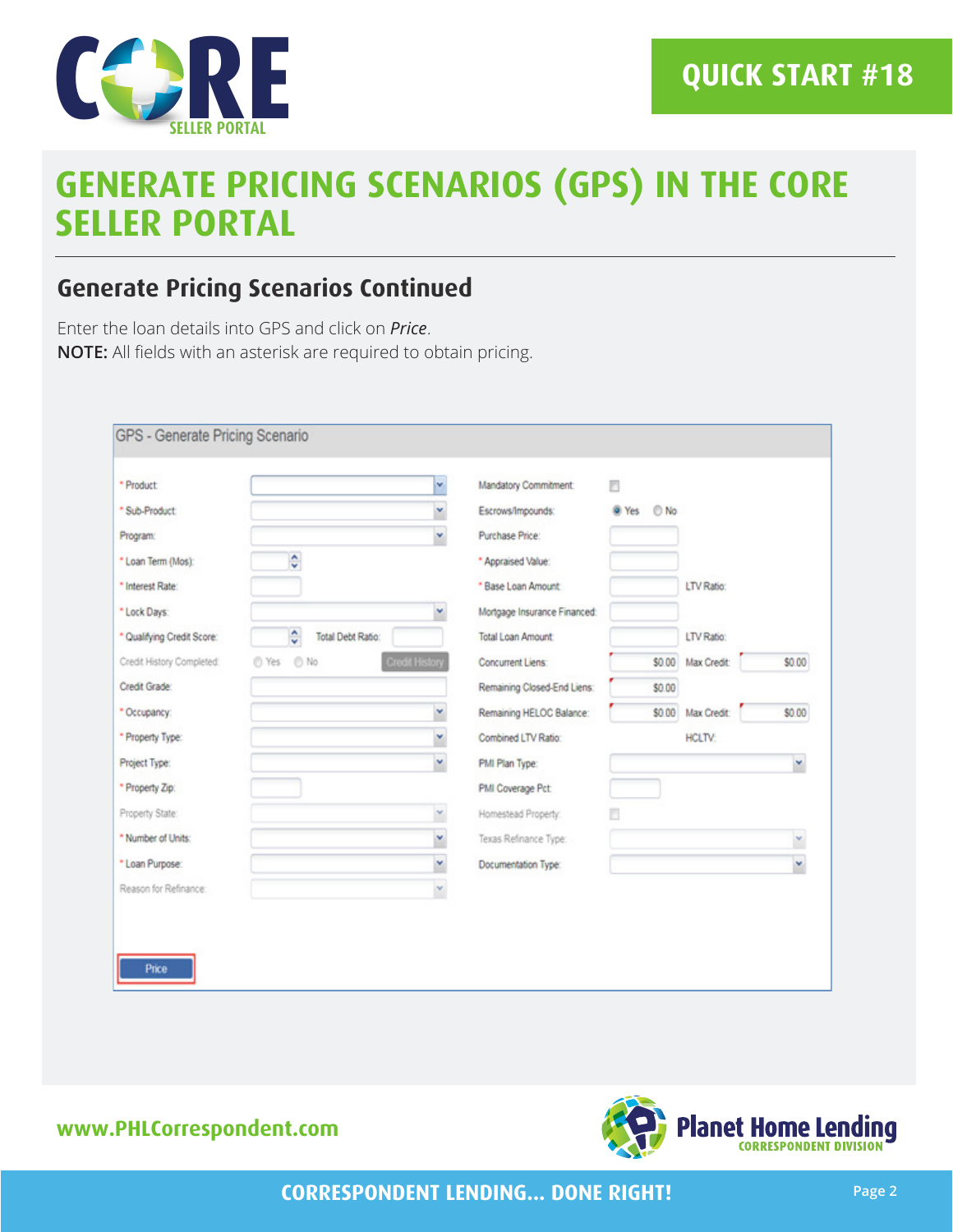

### **Generate Pricing Scenarios Continued**

Enter the loan details into GPS and click on *Price*. **NOTE:** All fields with an asterisk are required to obtain pricing.

| * Product:                 |                               | v.                    | Mandatory Commitment:        | m             |               |        |
|----------------------------|-------------------------------|-----------------------|------------------------------|---------------|---------------|--------|
| * Sub-Product:             |                               | v                     | Escrows/Impounds:            | @ Yes<br>O No |               |        |
| Program:                   |                               | ×                     | Purchase Price:              |               |               |        |
| * Loan Term (Mos):         | ÷                             |                       | * Appraised Value:           |               |               |        |
| * Interest Rate:           |                               |                       | * Base Loan Amount           |               | LTV Ratio:    |        |
| * Lock Days:               |                               | v                     | Mortgage Insurance Financed: |               |               |        |
| * Qualifying Credit Score: | ÷<br><b>Total Debt Ratio:</b> |                       | <b>Total Loan Amount</b>     |               | LTV Ratio:    |        |
| Credit History Completed:  | © Yes © No                    | <b>Credit History</b> | Concurrent Liens:            | \$0.00        | Max Credit:   | \$0.00 |
| Credit Grade:              |                               |                       | Remaining Closed-End Liens:  | \$0.00        |               |        |
| * Occupancy:               |                               | v                     | Remaining HELOC Balance:     | \$0.00        | Max Credit:   | \$0.00 |
| * Property Type:           |                               | v                     | Combined LTV Ratio:          |               | <b>HCLTV:</b> |        |
| Project Type:              |                               | ×                     | PMI Plan Type:               |               |               | ×      |
| * Property Zip:            |                               |                       | PMI Coverage Pct:            |               |               |        |
| Property State:            |                               | v                     | Homestead Property:          |               |               |        |
| * Number of Units:         |                               | ×                     | Texas Refinance Type:        |               |               | ×      |
| * Loan Purpose:            |                               | ×                     | Documentation Type:          |               |               | ×      |
| Reason for Refinance:      |                               | ×                     |                              |               |               |        |

#### **www.PHLCorrespondent.com**

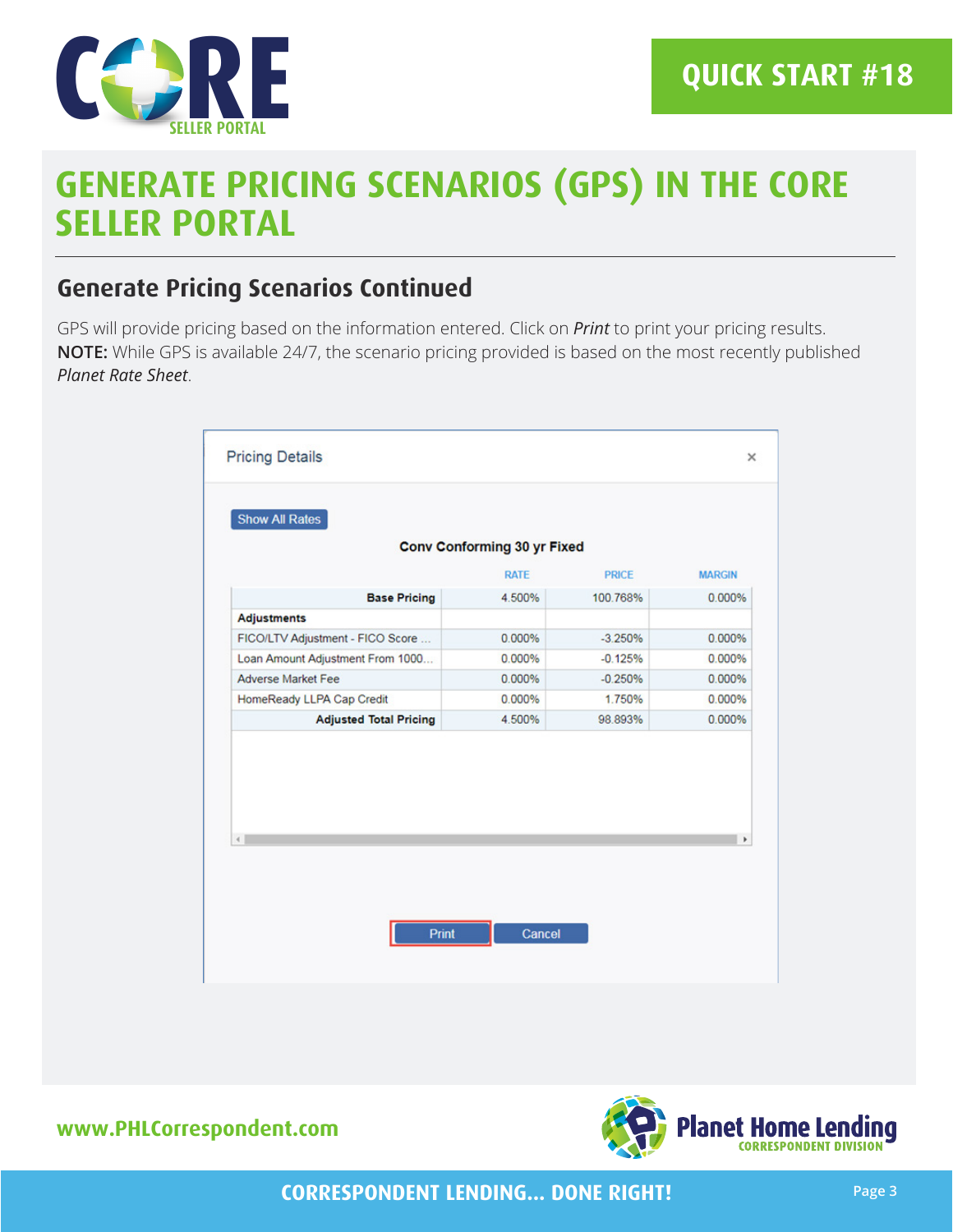

### **Generate Pricing Scenarios Continued**

GPS will provide pricing based on the information entered. Click on *Print* to print your pricing results. **NOTE:** While GPS is available 24/7, the scenario pricing provided is based on the most recently published *Planet Rate Sheet*.

|                                  | <b>RATE</b> | <b>PRICE</b> | <b>MARGIN</b> |
|----------------------------------|-------------|--------------|---------------|
| <b>Base Pricing</b>              | 4.500%      | 100.768%     | 0.000%        |
| <b>Adjustments</b>               |             |              |               |
| FICO/LTV Adjustment - FICO Score | 0.000%      | $-3.250%$    | 0.000%        |
| Loan Amount Adjustment From 1000 | 0.000%      | $-0.125%$    | 0.000%        |
| <b>Adverse Market Fee</b>        | 0.000%      | $-0.250%$    | 0.000%        |
| HomeReady LLPA Cap Credit        | 0.000%      | 1.750%       | 0.000%        |
| <b>Adjusted Total Pricing</b>    | 4.500%      | 98.893%      | 0.000%        |
| $\left($                         |             |              | r             |

**www.PHLCorrespondent.com**